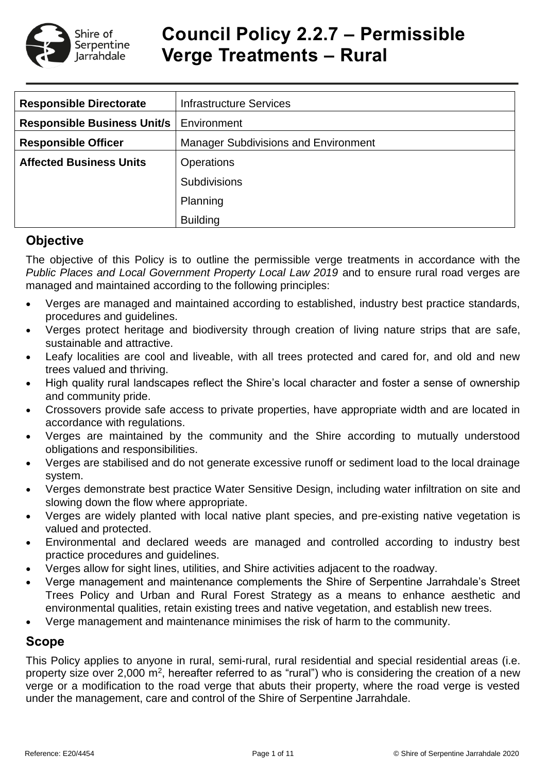

# **Council Policy 2.2.7 – Permissible Verge Treatments – Rural**

| <b>Responsible Directorate</b>     | <b>Infrastructure Services</b>              |  |  |  |
|------------------------------------|---------------------------------------------|--|--|--|
| <b>Responsible Business Unit/s</b> | Environment                                 |  |  |  |
| <b>Responsible Officer</b>         | <b>Manager Subdivisions and Environment</b> |  |  |  |
| <b>Affected Business Units</b>     | <b>Operations</b>                           |  |  |  |
|                                    | <b>Subdivisions</b>                         |  |  |  |
|                                    | Planning                                    |  |  |  |
|                                    | <b>Building</b>                             |  |  |  |

# **Objective**

The objective of this Policy is to outline the permissible verge treatments in accordance with the *Public Places and Local Government Property Local Law 2019* and to ensure rural road verges are managed and maintained according to the following principles:

- Verges are managed and maintained according to established, industry best practice standards, procedures and guidelines.
- Verges protect heritage and biodiversity through creation of living nature strips that are safe, sustainable and attractive.
- Leafy localities are cool and liveable, with all trees protected and cared for, and old and new trees valued and thriving.
- High quality rural landscapes reflect the Shire's local character and foster a sense of ownership and community pride.
- Crossovers provide safe access to private properties, have appropriate width and are located in accordance with regulations.
- Verges are maintained by the community and the Shire according to mutually understood obligations and responsibilities.
- Verges are stabilised and do not generate excessive runoff or sediment load to the local drainage system.
- Verges demonstrate best practice Water Sensitive Design, including water infiltration on site and slowing down the flow where appropriate.
- Verges are widely planted with local native plant species, and pre-existing native vegetation is valued and protected.
- Environmental and declared weeds are managed and controlled according to industry best practice procedures and guidelines.
- Verges allow for sight lines, utilities, and Shire activities adjacent to the roadway.
- Verge management and maintenance complements the Shire of Serpentine Jarrahdale's Street Trees Policy and Urban and Rural Forest Strategy as a means to enhance aesthetic and environmental qualities, retain existing trees and native vegetation, and establish new trees.
- Verge management and maintenance minimises the risk of harm to the community.

# **Scope**

This Policy applies to anyone in rural, semi-rural, rural residential and special residential areas (i.e. property size over 2,000 m<sup>2</sup>, hereafter referred to as "rural") who is considering the creation of a new verge or a modification to the road verge that abuts their property, where the road verge is vested under the management, care and control of the Shire of Serpentine Jarrahdale.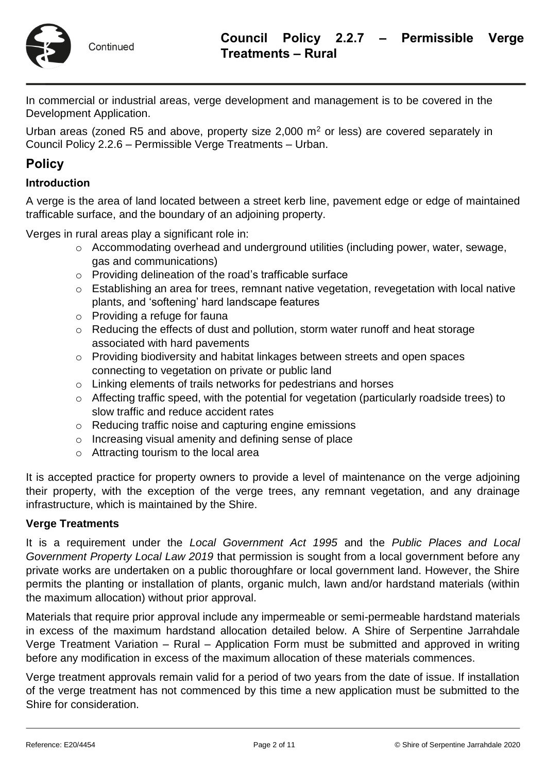

Continued

In commercial or industrial areas, verge development and management is to be covered in the Development Application.

Urban areas (zoned R5 and above, property size  $2,000$  m<sup>2</sup> or less) are covered separately in Council Policy 2.2.6 – Permissible Verge Treatments – Urban.

# **Policy**

#### **Introduction**

A verge is the area of land located between a street kerb line, pavement edge or edge of maintained trafficable surface, and the boundary of an adjoining property.

Verges in rural areas play a significant role in:

- o Accommodating overhead and underground utilities (including power, water, sewage, gas and communications)
- o Providing delineation of the road's trafficable surface
- o Establishing an area for trees, remnant native vegetation, revegetation with local native plants, and 'softening' hard landscape features
- o Providing a refuge for fauna
- o Reducing the effects of dust and pollution, storm water runoff and heat storage associated with hard pavements
- o Providing biodiversity and habitat linkages between streets and open spaces connecting to vegetation on private or public land
- o Linking elements of trails networks for pedestrians and horses
- o Affecting traffic speed, with the potential for vegetation (particularly roadside trees) to slow traffic and reduce accident rates
- o Reducing traffic noise and capturing engine emissions
- o Increasing visual amenity and defining sense of place
- o Attracting tourism to the local area

It is accepted practice for property owners to provide a level of maintenance on the verge adjoining their property, with the exception of the verge trees, any remnant vegetation, and any drainage infrastructure, which is maintained by the Shire.

#### **Verge Treatments**

It is a requirement under the *Local Government Act 1995* and the *Public Places and Local Government Property Local Law 2019* that permission is sought from a local government before any private works are undertaken on a public thoroughfare or local government land. However, the Shire permits the planting or installation of plants, organic mulch, lawn and/or hardstand materials (within the maximum allocation) without prior approval.

Materials that require prior approval include any impermeable or semi-permeable hardstand materials in excess of the maximum hardstand allocation detailed below. A Shire of Serpentine Jarrahdale Verge Treatment Variation – Rural – Application Form must be submitted and approved in writing before any modification in excess of the maximum allocation of these materials commences.

Verge treatment approvals remain valid for a period of two years from the date of issue. If installation of the verge treatment has not commenced by this time a new application must be submitted to the Shire for consideration.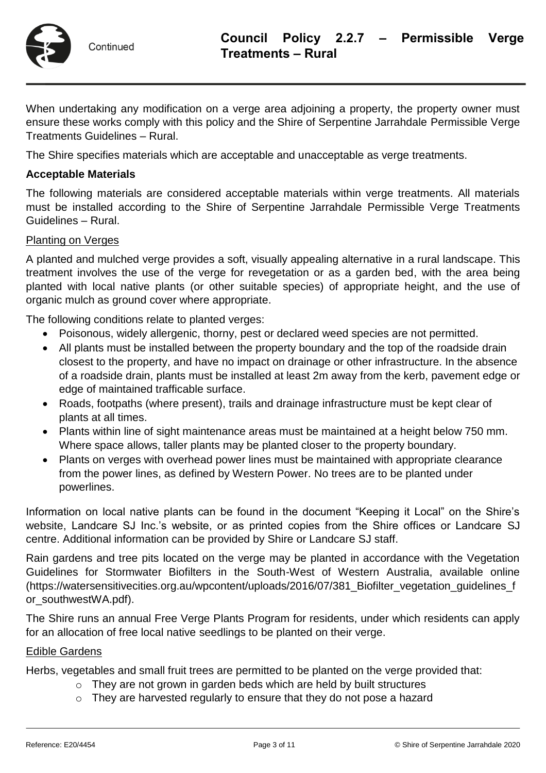

When undertaking any modification on a verge area adjoining a property, the property owner must ensure these works comply with this policy and the Shire of Serpentine Jarrahdale Permissible Verge Treatments Guidelines – Rural.

The Shire specifies materials which are acceptable and unacceptable as verge treatments.

## **Acceptable Materials**

The following materials are considered acceptable materials within verge treatments. All materials must be installed according to the Shire of Serpentine Jarrahdale Permissible Verge Treatments Guidelines – Rural.

#### Planting on Verges

A planted and mulched verge provides a soft, visually appealing alternative in a rural landscape. This treatment involves the use of the verge for revegetation or as a garden bed, with the area being planted with local native plants (or other suitable species) of appropriate height, and the use of organic mulch as ground cover where appropriate.

The following conditions relate to planted verges:

- Poisonous, widely allergenic, thorny, pest or declared weed species are not permitted.
- All plants must be installed between the property boundary and the top of the roadside drain closest to the property, and have no impact on drainage or other infrastructure. In the absence of a roadside drain, plants must be installed at least 2m away from the kerb, pavement edge or edge of maintained trafficable surface.
- Roads, footpaths (where present), trails and drainage infrastructure must be kept clear of plants at all times.
- Plants within line of sight maintenance areas must be maintained at a height below 750 mm. Where space allows, taller plants may be planted closer to the property boundary.
- Plants on verges with overhead power lines must be maintained with appropriate clearance from the power lines, as defined by Western Power. No trees are to be planted under powerlines.

Information on local native plants can be found in the document "Keeping it Local" on the Shire's website, Landcare SJ Inc.'s website, or as printed copies from the Shire offices or Landcare SJ centre. Additional information can be provided by Shire or Landcare SJ staff.

Rain gardens and tree pits located on the verge may be planted in accordance with the Vegetation Guidelines for Stormwater Biofilters in the South-West of Western Australia, available online (https://watersensitivecities.org.au/wpcontent/uploads/2016/07/381\_Biofilter\_vegetation\_guidelines\_f or\_southwestWA.pdf).

The Shire runs an annual Free Verge Plants Program for residents, under which residents can apply for an allocation of free local native seedlings to be planted on their verge.

#### Edible Gardens

Herbs, vegetables and small fruit trees are permitted to be planted on the verge provided that:

- o They are not grown in garden beds which are held by built structures
- o They are harvested regularly to ensure that they do not pose a hazard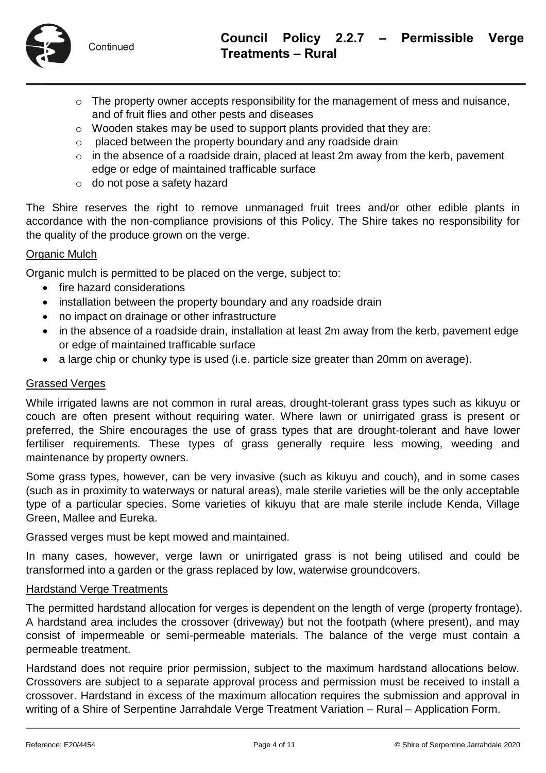

- o The property owner accepts responsibility for the management of mess and nuisance, and of fruit flies and other pests and diseases
- o Wooden stakes may be used to support plants provided that they are:
- o placed between the property boundary and any roadside drain
- $\circ$  in the absence of a roadside drain, placed at least 2m away from the kerb, pavement edge or edge of maintained trafficable surface
- o do not pose a safety hazard

The Shire reserves the right to remove unmanaged fruit trees and/or other edible plants in accordance with the non-compliance provisions of this Policy. The Shire takes no responsibility for the quality of the produce grown on the verge.

## **Organic Mulch**

Organic mulch is permitted to be placed on the verge, subject to:

- fire hazard considerations
- installation between the property boundary and any roadside drain
- no impact on drainage or other infrastructure
- in the absence of a roadside drain, installation at least 2m away from the kerb, pavement edge or edge of maintained trafficable surface
- a large chip or chunky type is used (i.e. particle size greater than 20mm on average).

## Grassed Verges

While irrigated lawns are not common in rural areas, drought-tolerant grass types such as kikuyu or couch are often present without requiring water. Where lawn or unirrigated grass is present or preferred, the Shire encourages the use of grass types that are drought-tolerant and have lower fertiliser requirements. These types of grass generally require less mowing, weeding and maintenance by property owners.

Some grass types, however, can be very invasive (such as kikuyu and couch), and in some cases (such as in proximity to waterways or natural areas), male sterile varieties will be the only acceptable type of a particular species. Some varieties of kikuyu that are male sterile include Kenda, Village Green, Mallee and Eureka.

Grassed verges must be kept mowed and maintained.

In many cases, however, verge lawn or unirrigated grass is not being utilised and could be transformed into a garden or the grass replaced by low, waterwise groundcovers.

## Hardstand Verge Treatments

The permitted hardstand allocation for verges is dependent on the length of verge (property frontage). A hardstand area includes the crossover (driveway) but not the footpath (where present), and may consist of impermeable or semi-permeable materials. The balance of the verge must contain a permeable treatment.

Hardstand does not require prior permission, subject to the maximum hardstand allocations below. Crossovers are subject to a separate approval process and permission must be received to install a crossover. Hardstand in excess of the maximum allocation requires the submission and approval in writing of a Shire of Serpentine Jarrahdale Verge Treatment Variation – Rural – Application Form.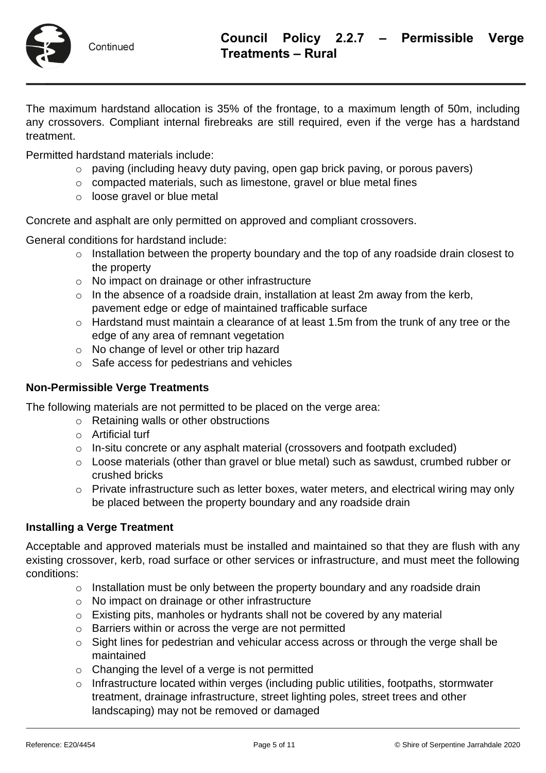

The maximum hardstand allocation is 35% of the frontage, to a maximum length of 50m, including any crossovers. Compliant internal firebreaks are still required, even if the verge has a hardstand treatment.

Permitted hardstand materials include:

- o paving (including heavy duty paving, open gap brick paving, or porous pavers)
- o compacted materials, such as limestone, gravel or blue metal fines
- o loose gravel or blue metal

Concrete and asphalt are only permitted on approved and compliant crossovers.

General conditions for hardstand include:

- o Installation between the property boundary and the top of any roadside drain closest to the property
- o No impact on drainage or other infrastructure
- $\circ$  In the absence of a roadside drain, installation at least 2m away from the kerb, pavement edge or edge of maintained trafficable surface
- o Hardstand must maintain a clearance of at least 1.5m from the trunk of any tree or the edge of any area of remnant vegetation
- o No change of level or other trip hazard
- o Safe access for pedestrians and vehicles

#### **Non-Permissible Verge Treatments**

The following materials are not permitted to be placed on the verge area:

- o Retaining walls or other obstructions
- o Artificial turf
- o In-situ concrete or any asphalt material (crossovers and footpath excluded)
- o Loose materials (other than gravel or blue metal) such as sawdust, crumbed rubber or crushed bricks
- o Private infrastructure such as letter boxes, water meters, and electrical wiring may only be placed between the property boundary and any roadside drain

#### **Installing a Verge Treatment**

Acceptable and approved materials must be installed and maintained so that they are flush with any existing crossover, kerb, road surface or other services or infrastructure, and must meet the following conditions:

- o Installation must be only between the property boundary and any roadside drain
- o No impact on drainage or other infrastructure
- o Existing pits, manholes or hydrants shall not be covered by any material
- o Barriers within or across the verge are not permitted
- o Sight lines for pedestrian and vehicular access across or through the verge shall be maintained
- o Changing the level of a verge is not permitted
- o Infrastructure located within verges (including public utilities, footpaths, stormwater treatment, drainage infrastructure, street lighting poles, street trees and other landscaping) may not be removed or damaged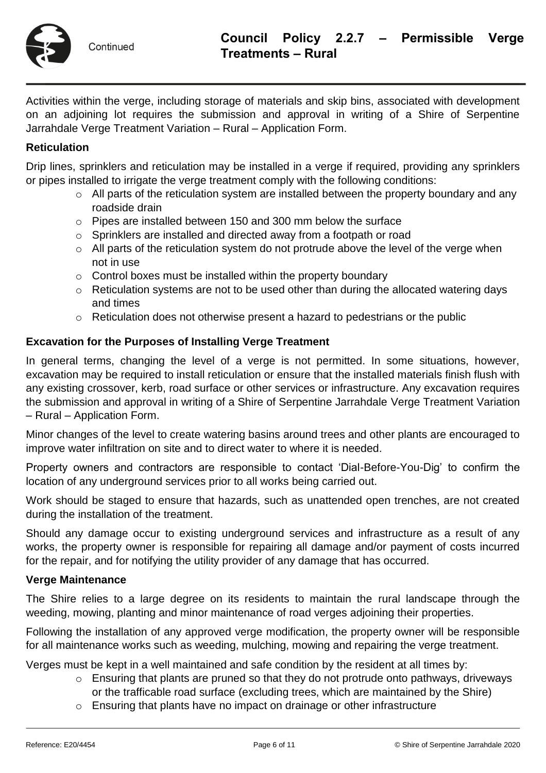

Activities within the verge, including storage of materials and skip bins, associated with development on an adjoining lot requires the submission and approval in writing of a Shire of Serpentine Jarrahdale Verge Treatment Variation – Rural – Application Form.

## **Reticulation**

Drip lines, sprinklers and reticulation may be installed in a verge if required, providing any sprinklers or pipes installed to irrigate the verge treatment comply with the following conditions:

- o All parts of the reticulation system are installed between the property boundary and any roadside drain
- o Pipes are installed between 150 and 300 mm below the surface
- o Sprinklers are installed and directed away from a footpath or road
- $\circ$  All parts of the reticulation system do not protrude above the level of the verge when not in use
- o Control boxes must be installed within the property boundary
- o Reticulation systems are not to be used other than during the allocated watering days and times
- o Reticulation does not otherwise present a hazard to pedestrians or the public

## **Excavation for the Purposes of Installing Verge Treatment**

In general terms, changing the level of a verge is not permitted. In some situations, however, excavation may be required to install reticulation or ensure that the installed materials finish flush with any existing crossover, kerb, road surface or other services or infrastructure. Any excavation requires the submission and approval in writing of a Shire of Serpentine Jarrahdale Verge Treatment Variation – Rural – Application Form.

Minor changes of the level to create watering basins around trees and other plants are encouraged to improve water infiltration on site and to direct water to where it is needed.

Property owners and contractors are responsible to contact 'Dial-Before-You-Dig' to confirm the location of any underground services prior to all works being carried out.

Work should be staged to ensure that hazards, such as unattended open trenches, are not created during the installation of the treatment.

Should any damage occur to existing underground services and infrastructure as a result of any works, the property owner is responsible for repairing all damage and/or payment of costs incurred for the repair, and for notifying the utility provider of any damage that has occurred.

#### **Verge Maintenance**

The Shire relies to a large degree on its residents to maintain the rural landscape through the weeding, mowing, planting and minor maintenance of road verges adjoining their properties.

Following the installation of any approved verge modification, the property owner will be responsible for all maintenance works such as weeding, mulching, mowing and repairing the verge treatment.

Verges must be kept in a well maintained and safe condition by the resident at all times by:

- o Ensuring that plants are pruned so that they do not protrude onto pathways, driveways or the trafficable road surface (excluding trees, which are maintained by the Shire)
- o Ensuring that plants have no impact on drainage or other infrastructure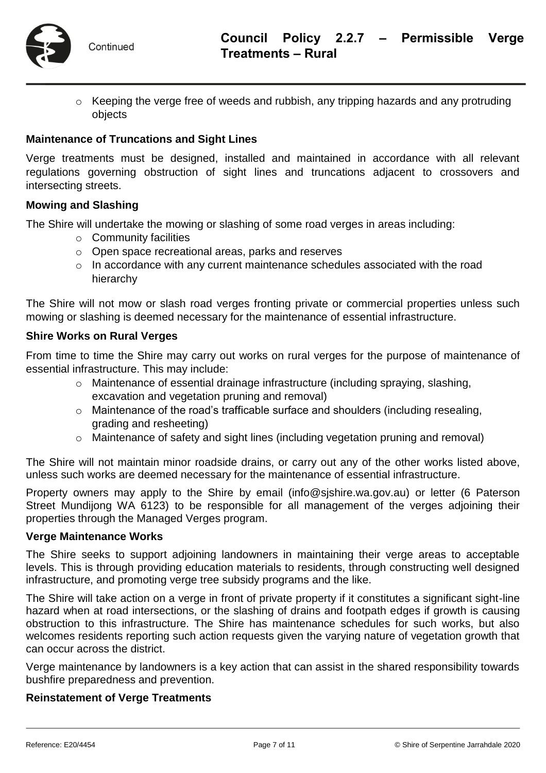

o Keeping the verge free of weeds and rubbish, any tripping hazards and any protruding objects

#### **Maintenance of Truncations and Sight Lines**

Verge treatments must be designed, installed and maintained in accordance with all relevant regulations governing obstruction of sight lines and truncations adjacent to crossovers and intersecting streets.

#### **Mowing and Slashing**

The Shire will undertake the mowing or slashing of some road verges in areas including:

- o Community facilities
- o Open space recreational areas, parks and reserves
- o In accordance with any current maintenance schedules associated with the road hierarchy

The Shire will not mow or slash road verges fronting private or commercial properties unless such mowing or slashing is deemed necessary for the maintenance of essential infrastructure.

#### **Shire Works on Rural Verges**

From time to time the Shire may carry out works on rural verges for the purpose of maintenance of essential infrastructure. This may include:

- o Maintenance of essential drainage infrastructure (including spraying, slashing, excavation and vegetation pruning and removal)
- o Maintenance of the road's trafficable surface and shoulders (including resealing, grading and resheeting)
- o Maintenance of safety and sight lines (including vegetation pruning and removal)

The Shire will not maintain minor roadside drains, or carry out any of the other works listed above, unless such works are deemed necessary for the maintenance of essential infrastructure.

Property owners may apply to the Shire by email (info@sjshire.wa.gov.au) or letter (6 Paterson Street Mundijong WA 6123) to be responsible for all management of the verges adjoining their properties through the Managed Verges program.

#### **Verge Maintenance Works**

The Shire seeks to support adjoining landowners in maintaining their verge areas to acceptable levels. This is through providing education materials to residents, through constructing well designed infrastructure, and promoting verge tree subsidy programs and the like.

The Shire will take action on a verge in front of private property if it constitutes a significant sight-line hazard when at road intersections, or the slashing of drains and footpath edges if growth is causing obstruction to this infrastructure. The Shire has maintenance schedules for such works, but also welcomes residents reporting such action requests given the varying nature of vegetation growth that can occur across the district.

Verge maintenance by landowners is a key action that can assist in the shared responsibility towards bushfire preparedness and prevention.

#### **Reinstatement of Verge Treatments**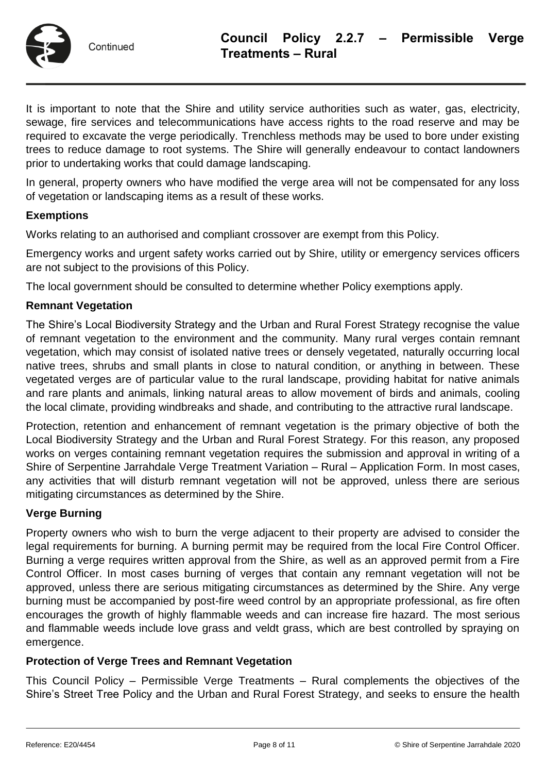

It is important to note that the Shire and utility service authorities such as water, gas, electricity, sewage, fire services and telecommunications have access rights to the road reserve and may be required to excavate the verge periodically. Trenchless methods may be used to bore under existing trees to reduce damage to root systems. The Shire will generally endeavour to contact landowners prior to undertaking works that could damage landscaping.

In general, property owners who have modified the verge area will not be compensated for any loss of vegetation or landscaping items as a result of these works.

## **Exemptions**

Works relating to an authorised and compliant crossover are exempt from this Policy.

Emergency works and urgent safety works carried out by Shire, utility or emergency services officers are not subject to the provisions of this Policy.

The local government should be consulted to determine whether Policy exemptions apply.

## **Remnant Vegetation**

The Shire's Local Biodiversity Strategy and the Urban and Rural Forest Strategy recognise the value of remnant vegetation to the environment and the community. Many rural verges contain remnant vegetation, which may consist of isolated native trees or densely vegetated, naturally occurring local native trees, shrubs and small plants in close to natural condition, or anything in between. These vegetated verges are of particular value to the rural landscape, providing habitat for native animals and rare plants and animals, linking natural areas to allow movement of birds and animals, cooling the local climate, providing windbreaks and shade, and contributing to the attractive rural landscape.

Protection, retention and enhancement of remnant vegetation is the primary objective of both the Local Biodiversity Strategy and the Urban and Rural Forest Strategy. For this reason, any proposed works on verges containing remnant vegetation requires the submission and approval in writing of a Shire of Serpentine Jarrahdale Verge Treatment Variation – Rural – Application Form. In most cases, any activities that will disturb remnant vegetation will not be approved, unless there are serious mitigating circumstances as determined by the Shire.

#### **Verge Burning**

Property owners who wish to burn the verge adjacent to their property are advised to consider the legal requirements for burning. A burning permit may be required from the local Fire Control Officer. Burning a verge requires written approval from the Shire, as well as an approved permit from a Fire Control Officer. In most cases burning of verges that contain any remnant vegetation will not be approved, unless there are serious mitigating circumstances as determined by the Shire. Any verge burning must be accompanied by post-fire weed control by an appropriate professional, as fire often encourages the growth of highly flammable weeds and can increase fire hazard. The most serious and flammable weeds include love grass and veldt grass, which are best controlled by spraying on emergence.

#### **Protection of Verge Trees and Remnant Vegetation**

This Council Policy – Permissible Verge Treatments – Rural complements the objectives of the Shire's Street Tree Policy and the Urban and Rural Forest Strategy, and seeks to ensure the health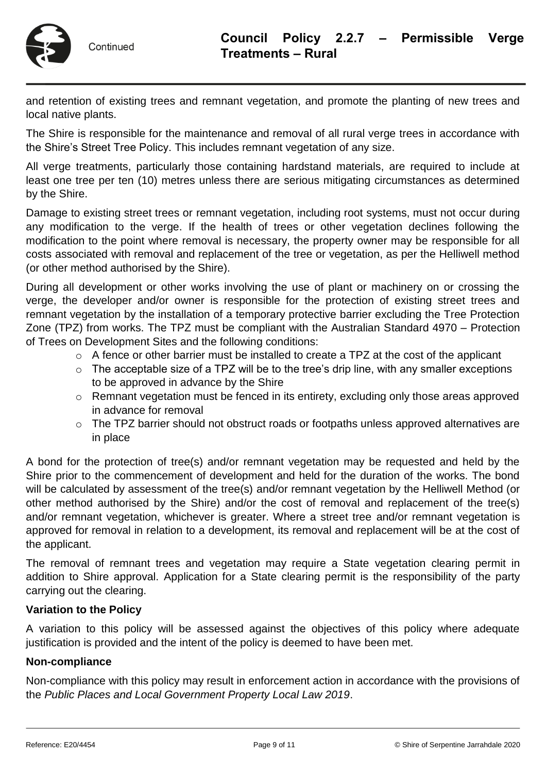

and retention of existing trees and remnant vegetation, and promote the planting of new trees and local native plants.

The Shire is responsible for the maintenance and removal of all rural verge trees in accordance with the Shire's Street Tree Policy. This includes remnant vegetation of any size.

All verge treatments, particularly those containing hardstand materials, are required to include at least one tree per ten (10) metres unless there are serious mitigating circumstances as determined by the Shire.

Damage to existing street trees or remnant vegetation, including root systems, must not occur during any modification to the verge. If the health of trees or other vegetation declines following the modification to the point where removal is necessary, the property owner may be responsible for all costs associated with removal and replacement of the tree or vegetation, as per the Helliwell method (or other method authorised by the Shire).

During all development or other works involving the use of plant or machinery on or crossing the verge, the developer and/or owner is responsible for the protection of existing street trees and remnant vegetation by the installation of a temporary protective barrier excluding the Tree Protection Zone (TPZ) from works. The TPZ must be compliant with the Australian Standard 4970 – Protection of Trees on Development Sites and the following conditions:

- $\circ$  A fence or other barrier must be installed to create a TPZ at the cost of the applicant
- o The acceptable size of a TPZ will be to the tree's drip line, with any smaller exceptions to be approved in advance by the Shire
- o Remnant vegetation must be fenced in its entirety, excluding only those areas approved in advance for removal
- o The TPZ barrier should not obstruct roads or footpaths unless approved alternatives are in place

A bond for the protection of tree(s) and/or remnant vegetation may be requested and held by the Shire prior to the commencement of development and held for the duration of the works. The bond will be calculated by assessment of the tree(s) and/or remnant vegetation by the Helliwell Method (or other method authorised by the Shire) and/or the cost of removal and replacement of the tree(s) and/or remnant vegetation, whichever is greater. Where a street tree and/or remnant vegetation is approved for removal in relation to a development, its removal and replacement will be at the cost of the applicant.

The removal of remnant trees and vegetation may require a State vegetation clearing permit in addition to Shire approval. Application for a State clearing permit is the responsibility of the party carrying out the clearing.

#### **Variation to the Policy**

A variation to this policy will be assessed against the objectives of this policy where adequate justification is provided and the intent of the policy is deemed to have been met.

#### **Non-compliance**

Non-compliance with this policy may result in enforcement action in accordance with the provisions of the *Public Places and Local Government Property Local Law 2019*.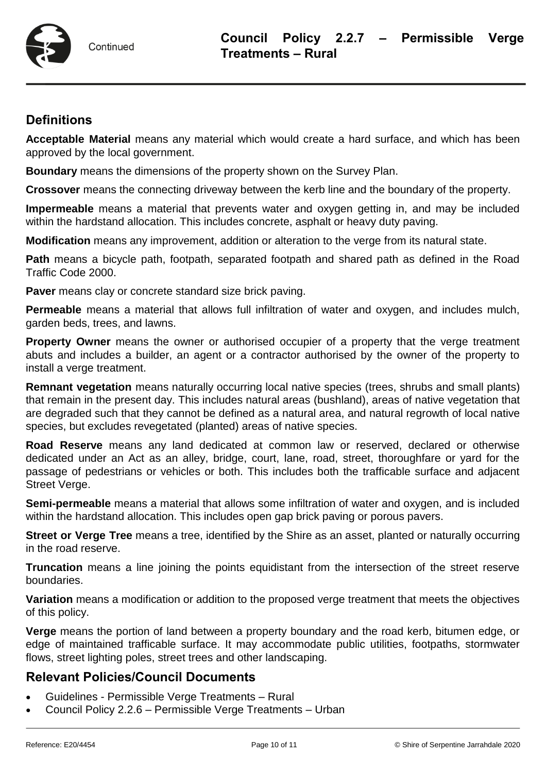

# **Definitions**

**Acceptable Material** means any material which would create a hard surface, and which has been approved by the local government.

**Boundary** means the dimensions of the property shown on the Survey Plan.

**Crossover** means the connecting driveway between the kerb line and the boundary of the property.

**Impermeable** means a material that prevents water and oxygen getting in, and may be included within the hardstand allocation. This includes concrete, asphalt or heavy duty paving.

**Modification** means any improvement, addition or alteration to the verge from its natural state.

**Path** means a bicycle path, footpath, separated footpath and shared path as defined in the Road Traffic Code 2000.

**Paver** means clay or concrete standard size brick paving.

**Permeable** means a material that allows full infiltration of water and oxygen, and includes mulch, garden beds, trees, and lawns.

**Property Owner** means the owner or authorised occupier of a property that the verge treatment abuts and includes a builder, an agent or a contractor authorised by the owner of the property to install a verge treatment.

**Remnant vegetation** means naturally occurring local native species (trees, shrubs and small plants) that remain in the present day. This includes natural areas (bushland), areas of native vegetation that are degraded such that they cannot be defined as a natural area, and natural regrowth of local native species, but excludes revegetated (planted) areas of native species.

**Road Reserve** means any land dedicated at common law or reserved, declared or otherwise dedicated under an Act as an alley, bridge, court, lane, road, street, thoroughfare or yard for the passage of pedestrians or vehicles or both. This includes both the trafficable surface and adjacent Street Verge.

**Semi-permeable** means a material that allows some infiltration of water and oxygen, and is included within the hardstand allocation. This includes open gap brick paving or porous pavers.

**Street or Verge Tree** means a tree, identified by the Shire as an asset, planted or naturally occurring in the road reserve.

**Truncation** means a line joining the points equidistant from the intersection of the street reserve boundaries.

**Variation** means a modification or addition to the proposed verge treatment that meets the objectives of this policy.

**Verge** means the portion of land between a property boundary and the road kerb, bitumen edge, or edge of maintained trafficable surface. It may accommodate public utilities, footpaths, stormwater flows, street lighting poles, street trees and other landscaping.

# **Relevant Policies/Council Documents**

- Guidelines Permissible Verge Treatments Rural
- Council Policy 2.2.6 Permissible Verge Treatments Urban